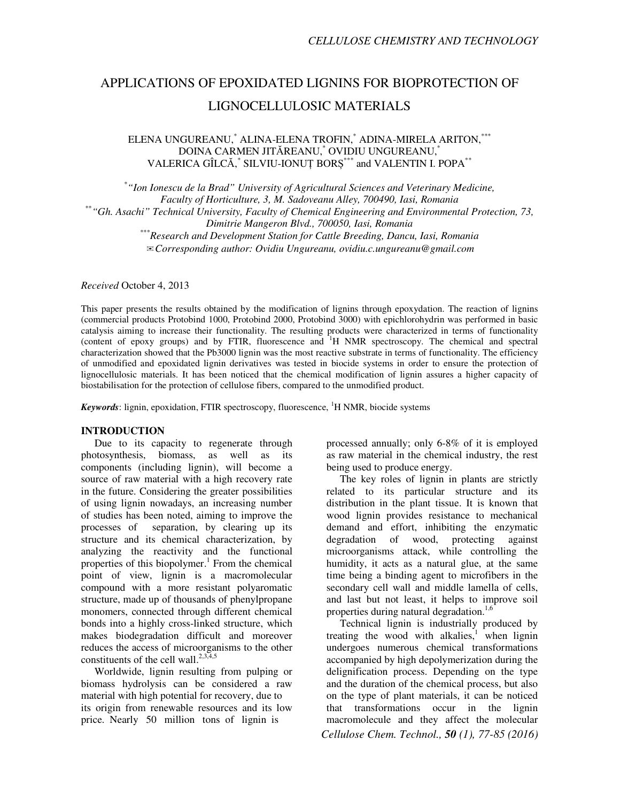# APPLICATIONS OF EPOXIDATED LIGNINS FOR BIOPROTECTION OF LIGNOCELLULOSIC MATERIALS

ELENA UNGUREANU,\* ALINA-ELENA TROFIN,\* ADINA-MIRELA ARITON,\*\*\* DOINA CARMEN JITĂREANU,\* OVIDIU UNGUREANU,\*  VALERICA GÎLCĂ, \* SILVIU-IONUȚ BORȘ \*\*\* and VALENTIN I. POPA\*\*

\* *"Ion Ionescu de la Brad" University of Agricultural Sciences and Veterinary Medicine, Faculty of Horticulture, 3, M. Sadoveanu Alley, 700490, Iasi, Romania* \*\**"Gh. Asachi" Technical University, Faculty of Chemical Engineering and Environmental Protection, 73, Dimitrie Mangeron Blvd., 700050, Iasi, Romania*  \*\*\**Research and Development Station for Cattle Breeding, Dancu, Iasi, Romania*  ✉*Corresponding author: Ovidiu Ungureanu, ovidiu.c.ungureanu@gmail.com*

*Received* October 4, 2013

This paper presents the results obtained by the modification of lignins through epoxydation. The reaction of lignins (commercial products Protobind 1000, Protobind 2000, Protobind 3000) with epichlorohydrin was performed in basic catalysis aiming to increase their functionality. The resulting products were characterized in terms of functionality (content of epoxy groups) and by FTIR, fluorescence and <sup>1</sup>H NMR spectroscopy. The chemical and spectral characterization showed that the Pb3000 lignin was the most reactive substrate in terms of functionality. The efficiency of unmodified and epoxidated lignin derivatives was tested in biocide systems in order to ensure the protection of lignocellulosic materials. It has been noticed that the chemical modification of lignin assures a higher capacity of biostabilisation for the protection of cellulose fibers, compared to the unmodified product.

*Keywords*: lignin, epoxidation, FTIR spectroscopy, fluorescence, <sup>1</sup>H NMR, biocide systems

## **INTRODUCTION**

Due to its capacity to regenerate through photosynthesis, biomass, as well as its components (including lignin), will become a source of raw material with a high recovery rate in the future. Considering the greater possibilities of using lignin nowadays, an increasing number of studies has been noted, aiming to improve the processes of separation, by clearing up its structure and its chemical characterization, by analyzing the reactivity and the functional properties of this biopolymer.<sup>1</sup> From the chemical point of view, lignin is a macromolecular compound with a more resistant polyaromatic structure, made up of thousands of phenylpropane monomers, connected through different chemical bonds into a highly cross-linked structure, which makes biodegradation difficult and moreover reduces the access of microorganisms to the other constituents of the cell wall.<sup>2,3,4,5</sup>

Worldwide, lignin resulting from pulping or biomass hydrolysis can be considered a raw material with high potential for recovery, due to its origin from renewable resources and its low price. Nearly 50 million tons of lignin is

processed annually; only 6-8% of it is employed as raw material in the chemical industry, the rest being used to produce energy.

The key roles of lignin in plants are strictly related to its particular structure and its distribution in the plant tissue. It is known that wood lignin provides resistance to mechanical demand and effort, inhibiting the enzymatic degradation of wood, protecting against microorganisms attack, while controlling the humidity, it acts as a natural glue, at the same time being a binding agent to microfibers in the secondary cell wall and middle lamella of cells, and last but not least, it helps to improve soil properties during natural degradation.<sup>1,6</sup>

*Cellulose Chem. Technol., 50 (1), 77-85 (2016)*  Technical lignin is industrially produced by treating the wood with alkalies, $\frac{1}{1}$  when lignin undergoes numerous chemical transformations accompanied by high depolymerization during the delignification process. Depending on the type and the duration of the chemical process, but also on the type of plant materials, it can be noticed that transformations occur in the lignin macromolecule and they affect the molecular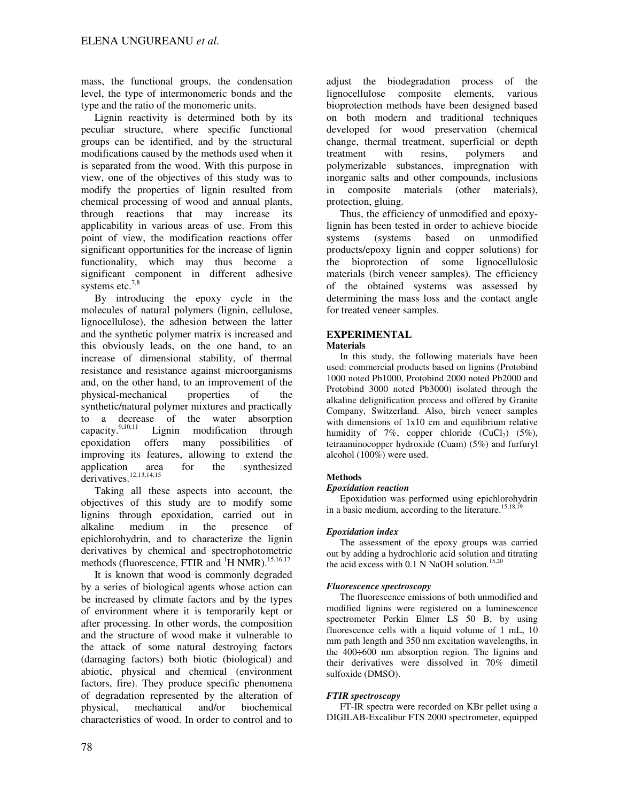mass, the functional groups, the condensation level, the type of intermonomeric bonds and the type and the ratio of the monomeric units.

Lignin reactivity is determined both by its peculiar structure, where specific functional groups can be identified, and by the structural modifications caused by the methods used when it is separated from the wood. With this purpose in view, one of the objectives of this study was to modify the properties of lignin resulted from chemical processing of wood and annual plants, through reactions that may increase its applicability in various areas of use. From this point of view, the modification reactions offer significant opportunities for the increase of lignin functionality, which may thus become a significant component in different adhesive systems etc. $7,8$ 

By introducing the epoxy cycle in the molecules of natural polymers (lignin, cellulose, lignocellulose), the adhesion between the latter and the synthetic polymer matrix is increased and this obviously leads, on the one hand, to an increase of dimensional stability, of thermal resistance and resistance against microorganisms and, on the other hand, to an improvement of the physical-mechanical properties of the synthetic/natural polymer mixtures and practically to a decrease of the water absorption<br>capacity.<sup>9,10,11</sup> Lignin modification through Lignin modification through epoxidation offers many possibilities of improving its features, allowing to extend the application area for the synthesized derivatives.<sup>12,13,14,15</sup>

Taking all these aspects into account, the objectives of this study are to modify some lignins through epoxidation, carried out in alkaline medium in the presence of epichlorohydrin, and to characterize the lignin derivatives by chemical and spectrophotometric methods (fluorescence, FTIR and  ${}^{1}$ H NMR).<sup>15,16,17</sup>

It is known that wood is commonly degraded by a series of biological agents whose action can be increased by climate factors and by the types of environment where it is temporarily kept or after processing. In other words, the composition and the structure of wood make it vulnerable to the attack of some natural destroying factors (damaging factors) both biotic (biological) and abiotic, physical and chemical (environment factors, fire). They produce specific phenomena of degradation represented by the alteration of physical, mechanical and/or biochemical characteristics of wood. In order to control and to

adjust the biodegradation process of the lignocellulose composite elements, various bioprotection methods have been designed based on both modern and traditional techniques developed for wood preservation (chemical change, thermal treatment, superficial or depth treatment with resins, polymers and polymerizable substances, impregnation with inorganic salts and other compounds, inclusions composite materials (other materials), protection, gluing.

Thus, the efficiency of unmodified and epoxylignin has been tested in order to achieve biocide systems (systems based on unmodified products/epoxy lignin and copper solutions) for the bioprotection of some lignocellulosic materials (birch veneer samples). The efficiency of the obtained systems was assessed by determining the mass loss and the contact angle for treated veneer samples.

# **EXPERIMENTAL**

## **Materials**

In this study, the following materials have been used: commercial products based on lignins (Protobind 1000 noted Pb1000, Protobind 2000 noted Pb2000 and Protobind 3000 noted Pb3000) isolated through the alkaline delignification process and offered by Granite Company, Switzerland. Also, birch veneer samples with dimensions of 1x10 cm and equilibrium relative humidity of 7%, copper chloride  $(CuCl<sub>2</sub>)$  (5%), tetraaminocopper hydroxide (Cuam) (5%) and furfuryl alcohol (100%) were used.

# **Methods**

## *Epoxidation reaction*

Epoxidation was performed using epichlorohydrin in a basic medium, according to the literature.<sup>15,18,19</sup>

# *Epoxidation index*

The assessment of the epoxy groups was carried out by adding a hydrochloric acid solution and titrating the acid excess with  $0.1$  N NaOH solution.<sup>15,20</sup>

## *Fluorescence spectroscopy*

The fluorescence emissions of both unmodified and modified lignins were registered on a luminescence spectrometer Perkin Elmer LS 50 B, by using fluorescence cells with a liquid volume of 1 mL, 10 mm path length and 350 nm excitation wavelengths, in the 400÷600 nm absorption region. The lignins and their derivatives were dissolved in 70% dimetil sulfoxide (DMSO).

## *FTIR spectroscopy*

FT-IR spectra were recorded on KBr pellet using a DIGILAB-Excalibur FTS 2000 spectrometer, equipped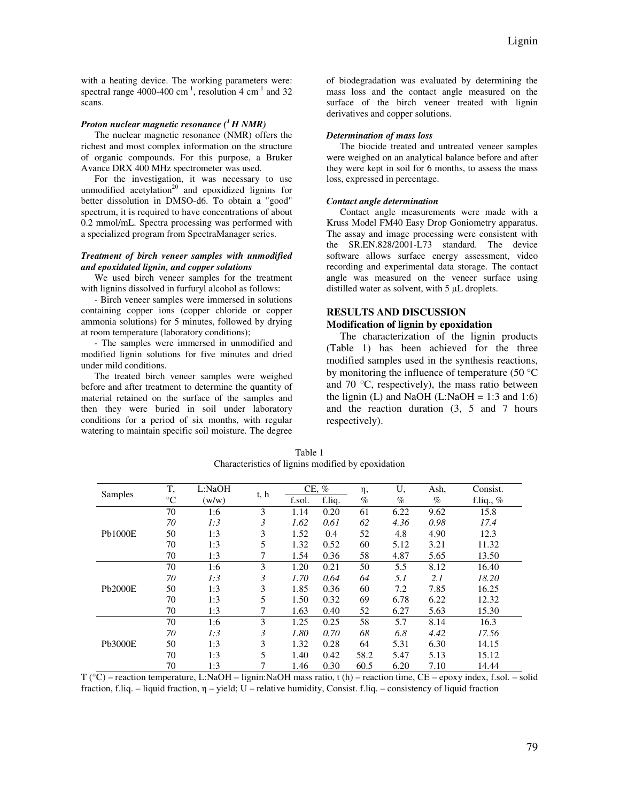with a heating device. The working parameters were: spectral range 4000-400  $\text{cm}^{-1}$ , resolution 4  $\text{cm}^{-1}$  and 32 scans.

## *Proton nuclear magnetic resonance (<sup>1</sup>H NMR)*

The nuclear magnetic resonance (NMR) offers the richest and most complex information on the structure of organic compounds. For this purpose, a Bruker Avance DRX 400 MHz spectrometer was used.

For the investigation, it was necessary to use unmodified acetylation<sup>20</sup> and epoxidized lignins for better dissolution in DMSO-d6. To obtain a "good" spectrum, it is required to have concentrations of about 0.2 mmol/mL. Spectra processing was performed with a specialized program from SpectraManager series.

#### *Treatment of birch veneer samples with unmodified and epoxidated lignin, and copper solutions*

We used birch veneer samples for the treatment with lignins dissolved in furfuryl alcohol as follows:

- Birch veneer samples were immersed in solutions containing copper ions (copper chloride or copper ammonia solutions) for 5 minutes, followed by drying at room temperature (laboratory conditions);

- The samples were immersed in unmodified and modified lignin solutions for five minutes and dried under mild conditions.

The treated birch veneer samples were weighed before and after treatment to determine the quantity of material retained on the surface of the samples and then they were buried in soil under laboratory conditions for a period of six months, with regular watering to maintain specific soil moisture. The degree of biodegradation was evaluated by determining the mass loss and the contact angle measured on the surface of the birch veneer treated with lignin derivatives and copper solutions.

#### *Determination of mass loss*

The biocide treated and untreated veneer samples were weighed on an analytical balance before and after they were kept in soil for 6 months, to assess the mass loss, expressed in percentage.

## *Contact angle determination*

Contact angle measurements were made with a Kruss Model FM40 Easy Drop Goniometry apparatus. The assay and image processing were consistent with the SR.EN.828/2001-L73 standard. The device software allows surface energy assessment, video recording and experimental data storage. The contact angle was measured on the veneer surface using distilled water as solvent, with 5 µL droplets.

## **RESULTS AND DISCUSSION Modification of lignin by epoxidation**

The characterization of the lignin products (Table 1) has been achieved for the three modified samples used in the synthesis reactions, by monitoring the influence of temperature (50 °C and 70 °C, respectively), the mass ratio between the lignin (L) and NaOH (L:NaOH = 1:3 and 1:6) and the reaction duration (3, 5 and 7 hours respectively).

| Samples        | T,              | L:NaOH | t, h | $CE, \%$ |        | η,   | U,   | Ash, | Consist.    |
|----------------|-----------------|--------|------|----------|--------|------|------|------|-------------|
|                | $\rm ^{\circ}C$ | (w/w)  |      | f.sol.   | f.liq. | $\%$ | $\%$ | $\%$ | f.liq., $%$ |
| <b>Pb1000E</b> | 70              | 1:6    | 3    | 1.14     | 0.20   | 61   | 6.22 | 9.62 | 15.8        |
|                | 70              | 1:3    | 3    | 1.62     | 0.61   | 62   | 4.36 | 0.98 | 17.4        |
|                | 50              | 1:3    | 3    | 1.52     | 0.4    | 52   | 4.8  | 4.90 | 12.3        |
|                | 70              | 1:3    | 5    | 1.32     | 0.52   | 60   | 5.12 | 3.21 | 11.32       |
|                | 70              | 1:3    |      | 1.54     | 0.36   | 58   | 4.87 | 5.65 | 13.50       |
|                | 70              | 1:6    | 3    | 1.20     | 0.21   | 50   | 5.5  | 8.12 | 16.40       |
|                | 70              | 1:3    | 3    | 1.70     | 0.64   | 64   | 5.1  | 2.1  | 18.20       |
| <b>Pb2000E</b> | 50              | 1:3    | 3    | 1.85     | 0.36   | 60   | 7.2  | 7.85 | 16.25       |
|                | 70              | 1:3    | 5    | 1.50     | 0.32   | 69   | 6.78 | 6.22 | 12.32       |
|                | 70              | 1:3    | 7    | 1.63     | 0.40   | 52   | 6.27 | 5.63 | 15.30       |
| Pb3000E        | 70              | 1:6    | 3    | 1.25     | 0.25   | 58   | 5.7  | 8.14 | 16.3        |
|                | 70              | 1:3    | 3    | 1.80     | 0.70   | 68   | 6.8  | 4.42 | 17.56       |
|                | 50              | 1:3    | 3    | 1.32     | 0.28   | 64   | 5.31 | 6.30 | 14.15       |
|                | 70              | 1:3    | 5    | 1.40     | 0.42   | 58.2 | 5.47 | 5.13 | 15.12       |
|                | 70              | 1:3    | 7    | 1.46     | 0.30   | 60.5 | 6.20 | 7.10 | 14.44       |

Table 1 Characteristics of lignins modified by epoxidation

 $T({}^{\circ}\overline{C})$  – reaction temperature, L:NaOH – lignin:NaOH mass ratio, t (h) – reaction time, CE – epoxy index, f.sol. – solid fraction, f.liq. – liquid fraction, η – yield; U – relative humidity, Consist. f.liq. – consistency of liquid fraction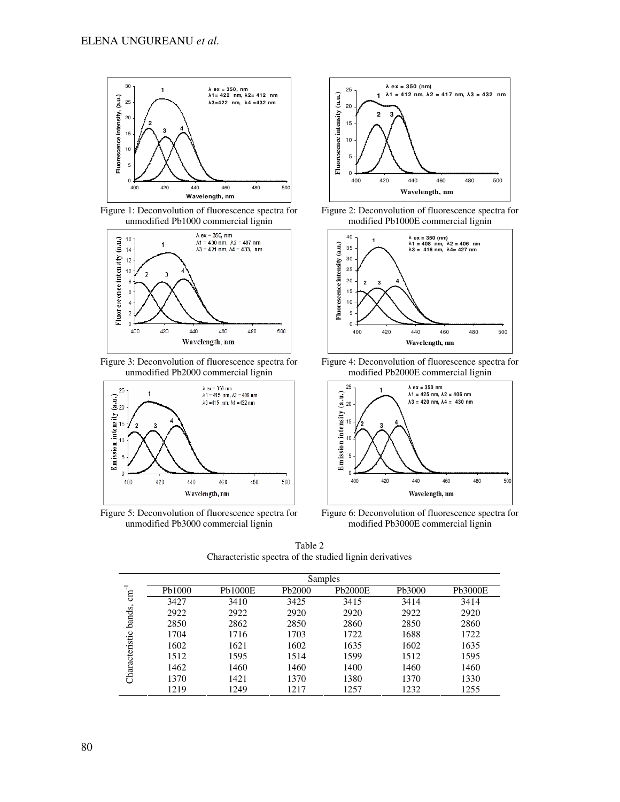

Figure 1: Deconvolution of fluorescence spectra for unmodified Pb1000 commercial lignin



Figure 3: Deconvolution of fluorescence spectra for unmodified Pb2000 commercial lignin



Figure 5: Deconvolution of fluorescence spectra for unmodified Pb3000 commercial lignin



Figure 2: Deconvolution of fluorescence spectra for modified Pb1000E commercial lignin



Figure 4: Deconvolution of fluorescence spectra for modified Pb2000E commercial lignin



Figure 6: Deconvolution of fluorescence spectra for modified Pb3000E commercial lignin

Table 2 Characteristic spectra of the studied lignin derivatives

|                          | Samples |                |        |                |        |                |  |  |  |  |  |  |
|--------------------------|---------|----------------|--------|----------------|--------|----------------|--|--|--|--|--|--|
| $cm^{-1}$                | Pb1000  | <b>Pb1000E</b> | Pb2000 | <b>Pb2000E</b> | Pb3000 | <b>Pb3000E</b> |  |  |  |  |  |  |
| bands,<br>Characteristic | 3427    | 3410           | 3425   | 3415           | 3414   | 3414           |  |  |  |  |  |  |
|                          | 2922    | 2922           | 2920   | 2920           | 2922   | 2920           |  |  |  |  |  |  |
|                          | 2850    | 2862           | 2850   | 2860           | 2850   | 2860           |  |  |  |  |  |  |
|                          | 1704    | 1716           | 1703   | 1722           | 1688   | 1722           |  |  |  |  |  |  |
|                          | 1602    | 1621           | 1602   | 1635           | 1602   | 1635           |  |  |  |  |  |  |
|                          | 1512    | 1595           | 1514   | 1599           | 1512   | 1595           |  |  |  |  |  |  |
|                          | 1462    | 1460           | 1460   | 1400           | 1460   | 1460           |  |  |  |  |  |  |
|                          | 1370    | 1421           | 1370   | 1380           | 1370   | 1330           |  |  |  |  |  |  |
|                          | 1219    | 1249           | 1217   | 1257           | 1232   | 1255           |  |  |  |  |  |  |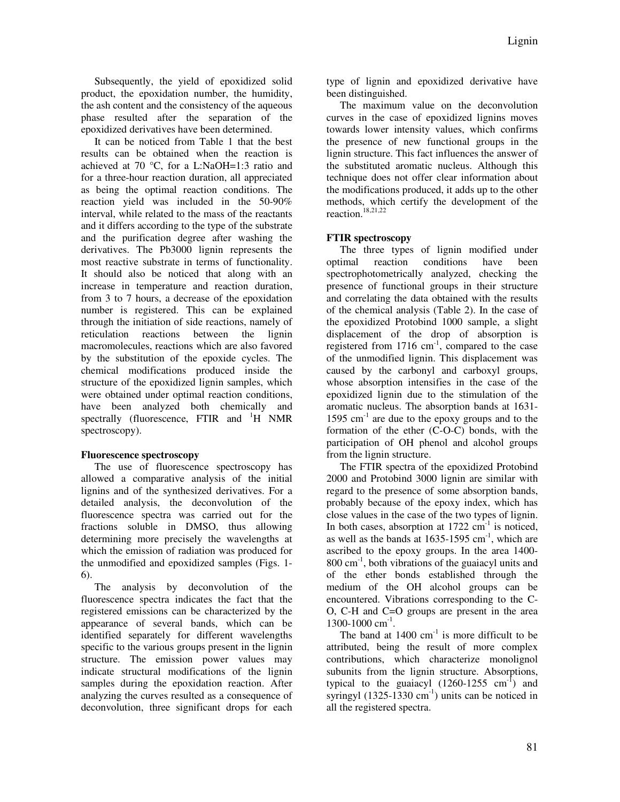Subsequently, the yield of epoxidized solid product, the epoxidation number, the humidity, the ash content and the consistency of the aqueous phase resulted after the separation of the epoxidized derivatives have been determined.

It can be noticed from Table 1 that the best results can be obtained when the reaction is achieved at 70 °C, for a L:NaOH=1:3 ratio and for a three-hour reaction duration, all appreciated as being the optimal reaction conditions. The reaction yield was included in the 50-90% interval, while related to the mass of the reactants and it differs according to the type of the substrate and the purification degree after washing the derivatives. The Pb3000 lignin represents the most reactive substrate in terms of functionality. It should also be noticed that along with an increase in temperature and reaction duration, from 3 to 7 hours, a decrease of the epoxidation number is registered. This can be explained through the initiation of side reactions, namely of reticulation reactions between the lignin macromolecules, reactions which are also favored by the substitution of the epoxide cycles. The chemical modifications produced inside the structure of the epoxidized lignin samples, which were obtained under optimal reaction conditions, have been analyzed both chemically and spectrally (fluorescence, FTIR and  $H$  NMR spectroscopy).

# **Fluorescence spectroscopy**

The use of fluorescence spectroscopy has allowed a comparative analysis of the initial lignins and of the synthesized derivatives. For a detailed analysis, the deconvolution of the fluorescence spectra was carried out for the fractions soluble in DMSO, thus allowing determining more precisely the wavelengths at which the emission of radiation was produced for the unmodified and epoxidized samples (Figs. 1- 6).

The analysis by deconvolution of the fluorescence spectra indicates the fact that the registered emissions can be characterized by the appearance of several bands, which can be identified separately for different wavelengths specific to the various groups present in the lignin structure. The emission power values may indicate structural modifications of the lignin samples during the epoxidation reaction. After analyzing the curves resulted as a consequence of deconvolution, three significant drops for each

type of lignin and epoxidized derivative have been distinguished.

The maximum value on the deconvolution curves in the case of epoxidized lignins moves towards lower intensity values, which confirms the presence of new functional groups in the lignin structure. This fact influences the answer of the substituted aromatic nucleus. Although this technique does not offer clear information about the modifications produced, it adds up to the other methods, which certify the development of the reaction.<sup>18,21,22</sup>

# **FTIR spectroscopy**

The three types of lignin modified under optimal reaction conditions have been spectrophotometrically analyzed, checking the presence of functional groups in their structure and correlating the data obtained with the results of the chemical analysis (Table 2). In the case of the epoxidized Protobind 1000 sample, a slight displacement of the drop of absorption is registered from  $1716 \text{ cm}^{-1}$ , compared to the case of the unmodified lignin. This displacement was caused by the carbonyl and carboxyl groups, whose absorption intensifies in the case of the epoxidized lignin due to the stimulation of the aromatic nucleus. The absorption bands at 1631- 1595  $cm^{-1}$  are due to the epoxy groups and to the formation of the ether (C-O-C) bonds, with the participation of OH phenol and alcohol groups from the lignin structure.

The FTIR spectra of the epoxidized Protobind 2000 and Protobind 3000 lignin are similar with regard to the presence of some absorption bands, probably because of the epoxy index, which has close values in the case of the two types of lignin. In both cases, absorption at  $1722 \text{ cm}^{-1}$  is noticed, as well as the bands at  $1635-1595$  cm<sup>-1</sup>, which are ascribed to the epoxy groups. In the area 1400-  $800 \text{ cm}^{-1}$ , both vibrations of the guaiacyl units and of the ether bonds established through the medium of the OH alcohol groups can be encountered. Vibrations corresponding to the C-O, C-H and C=O groups are present in the area 1300-1000 cm<sup>-1</sup>.

The band at  $1400 \text{ cm}^{-1}$  is more difficult to be attributed, being the result of more complex contributions, which characterize monolignol subunits from the lignin structure. Absorptions, typical to the guaiacyl  $(1260-1255 \text{ cm}^{-1})$  and syringyl  $(1325-1330 \text{ cm}^{-1})$  units can be noticed in all the registered spectra.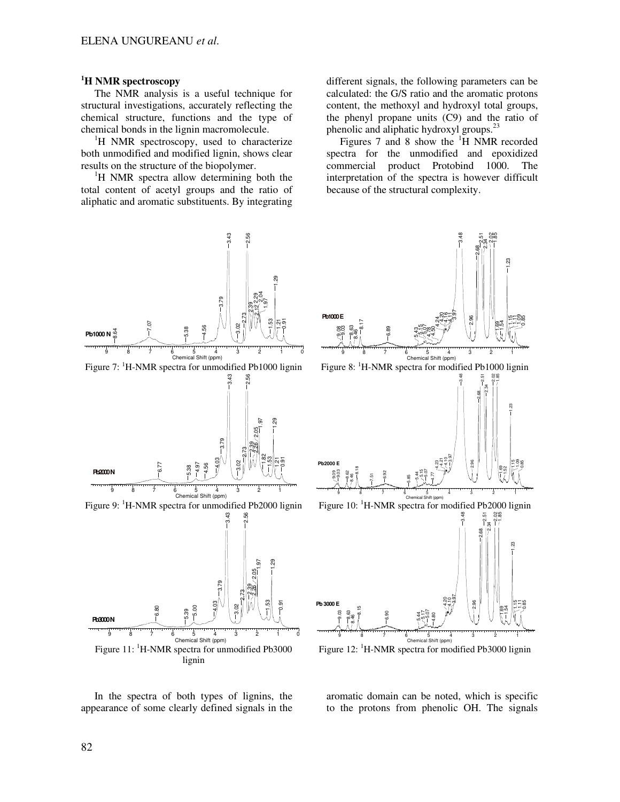## **<sup>1</sup>H NMR spectroscopy**

The NMR analysis is a useful technique for structural investigations, accurately reflecting the chemical structure, functions and the type of chemical bonds in the lignin macromolecule.

<sup>1</sup>H NMR spectroscopy, used to characterize both unmodified and modified lignin, shows clear results on the structure of the biopolymer.

 ${}^{1}$ H NMR spectra allow determining both the total content of acetyl groups and the ratio of aliphatic and aromatic substituents. By integrating

different signals, the following parameters can be calculated: the G/S ratio and the aromatic protons content, the methoxyl and hydroxyl total groups, the phenyl propane units (C9) and the ratio of phenolic and aliphatic hydroxyl groups.<sup>23</sup>

Figures 7 and 8 show the  $H$  NMR recorded spectra for the unmodified and epoxidized commercial product Protobind 1000. The interpretation of the spectra is however difficult because of the structural complexity.



In the spectra of both types of lignins, the appearance of some clearly defined signals in the



Figure 12:  $H-MR$  spectra for modified Pb3000 lignin

aromatic domain can be noted, which is specific to the protons from phenolic OH. The signals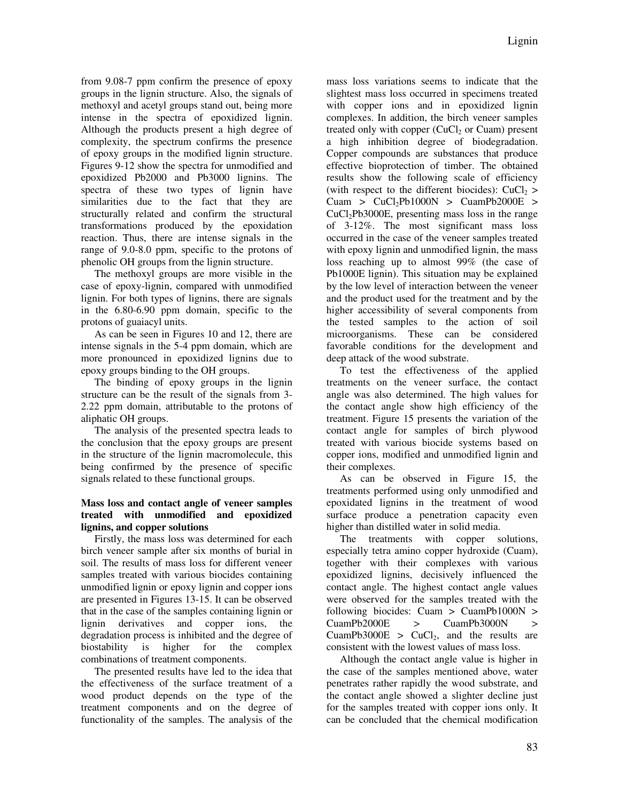from 9.08-7 ppm confirm the presence of epoxy groups in the lignin structure. Also, the signals of methoxyl and acetyl groups stand out, being more intense in the spectra of epoxidized lignin. Although the products present a high degree of complexity, the spectrum confirms the presence of epoxy groups in the modified lignin structure. Figures 9-12 show the spectra for unmodified and epoxidized Pb2000 and Pb3000 lignins. The spectra of these two types of lignin have similarities due to the fact that they are structurally related and confirm the structural transformations produced by the epoxidation reaction. Thus, there are intense signals in the range of 9.0-8.0 ppm, specific to the protons of phenolic OH groups from the lignin structure.

The methoxyl groups are more visible in the case of epoxy-lignin, compared with unmodified lignin. For both types of lignins, there are signals in the 6.80-6.90 ppm domain, specific to the protons of guaiacyl units.

As can be seen in Figures 10 and 12, there are intense signals in the 5-4 ppm domain, which are more pronounced in epoxidized lignins due to epoxy groups binding to the OH groups.

The binding of epoxy groups in the lignin structure can be the result of the signals from 3- 2.22 ppm domain, attributable to the protons of aliphatic OH groups.

The analysis of the presented spectra leads to the conclusion that the epoxy groups are present in the structure of the lignin macromolecule, this being confirmed by the presence of specific signals related to these functional groups.

# **Mass loss and contact angle of veneer samples treated with unmodified and epoxidized lignins, and copper solutions**

Firstly, the mass loss was determined for each birch veneer sample after six months of burial in soil. The results of mass loss for different veneer samples treated with various biocides containing unmodified lignin or epoxy lignin and copper ions are presented in Figures 13-15. It can be observed that in the case of the samples containing lignin or lignin derivatives and copper ions, the degradation process is inhibited and the degree of biostability is higher for the complex combinations of treatment components.

The presented results have led to the idea that the effectiveness of the surface treatment of a wood product depends on the type of the treatment components and on the degree of functionality of the samples. The analysis of the

mass loss variations seems to indicate that the slightest mass loss occurred in specimens treated with copper ions and in epoxidized lignin complexes. In addition, the birch veneer samples treated only with copper  $(CuCl<sub>2</sub>$  or Cuam) present a high inhibition degree of biodegradation. Copper compounds are substances that produce effective bioprotection of timber. The obtained results show the following scale of efficiency (with respect to the different biocides):  $CuCl<sub>2</sub>$  > Cuam >  $CuCl<sub>2</sub>Pb1000N$  >  $CuamPb2000E$  >  $CuCl<sub>2</sub>Pb3000E$ , presenting mass loss in the range of 3-12%. The most significant mass loss occurred in the case of the veneer samples treated with epoxy lignin and unmodified lignin, the mass loss reaching up to almost 99% (the case of Pb1000E lignin). This situation may be explained by the low level of interaction between the veneer and the product used for the treatment and by the higher accessibility of several components from the tested samples to the action of soil microorganisms. These can be considered favorable conditions for the development and deep attack of the wood substrate.

To test the effectiveness of the applied treatments on the veneer surface, the contact angle was also determined. The high values for the contact angle show high efficiency of the treatment. Figure 15 presents the variation of the contact angle for samples of birch plywood treated with various biocide systems based on copper ions, modified and unmodified lignin and their complexes.

As can be observed in Figure 15, the treatments performed using only unmodified and epoxidated lignins in the treatment of wood surface produce a penetration capacity even higher than distilled water in solid media.

The treatments with copper solutions, especially tetra amino copper hydroxide (Cuam), together with their complexes with various epoxidized lignins, decisively influenced the contact angle. The highest contact angle values were observed for the samples treated with the following biocides: Cuam > CuamPb1000N > CuamPb2000E > CuamPb3000N > CuamPb3000E > CuCl<sub>2</sub>, and the results are consistent with the lowest values of mass loss.

Although the contact angle value is higher in the case of the samples mentioned above, water penetrates rather rapidly the wood substrate, and the contact angle showed a slighter decline just for the samples treated with copper ions only. It can be concluded that the chemical modification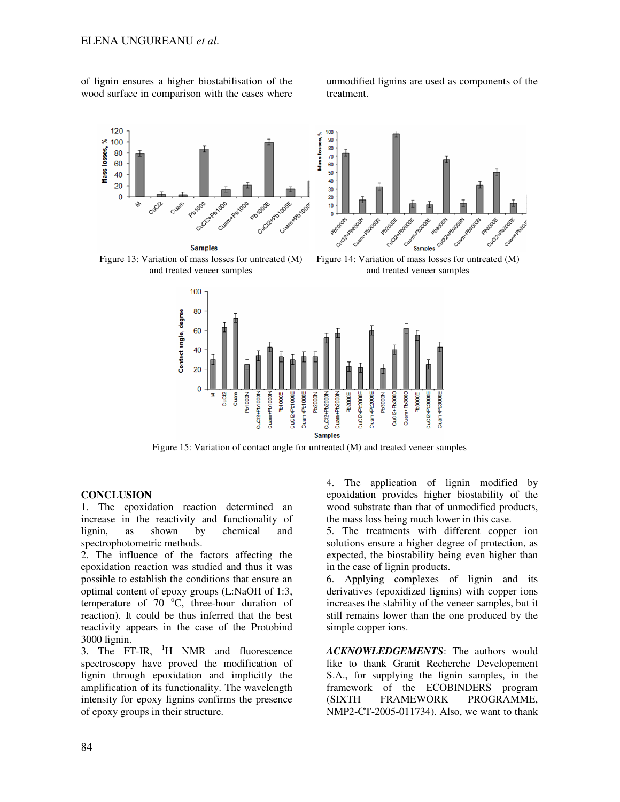of lignin ensures a higher biostabilisation of the wood surface in comparison with the cases where

unmodified lignins are used as components of the treatment.





Figure 15: Variation of contact angle for untreated (M) and treated veneer samples

## **CONCLUSION**

1. The epoxidation reaction determined an increase in the reactivity and functionality of lignin, as shown by chemical and spectrophotometric methods.

2. The influence of the factors affecting the epoxidation reaction was studied and thus it was possible to establish the conditions that ensure an optimal content of epoxy groups (L:NaOH of 1:3, temperature of  $70^{\circ}$ C, three-hour duration of reaction). It could be thus inferred that the best reactivity appears in the case of the Protobind 3000 lignin.

3. The FT-IR,  $^{1}$ H NMR and fluorescence spectroscopy have proved the modification of lignin through epoxidation and implicitly the amplification of its functionality. The wavelength intensity for epoxy lignins confirms the presence of epoxy groups in their structure.

4. The application of lignin modified by epoxidation provides higher biostability of the wood substrate than that of unmodified products, the mass loss being much lower in this case.

5. The treatments with different copper ion solutions ensure a higher degree of protection, as expected, the biostability being even higher than in the case of lignin products.

6. Applying complexes of lignin and its derivatives (epoxidized lignins) with copper ions increases the stability of the veneer samples, but it still remains lower than the one produced by the simple copper ions.

*ACKNOWLEDGEMENTS*: The authors would like to thank Granit Recherche Developement S.A., for supplying the lignin samples, in the framework of the ECOBINDERS program (SIXTH FRAMEWORK PROGRAMME, NMP2-CT-2005-011734). Also, we want to thank